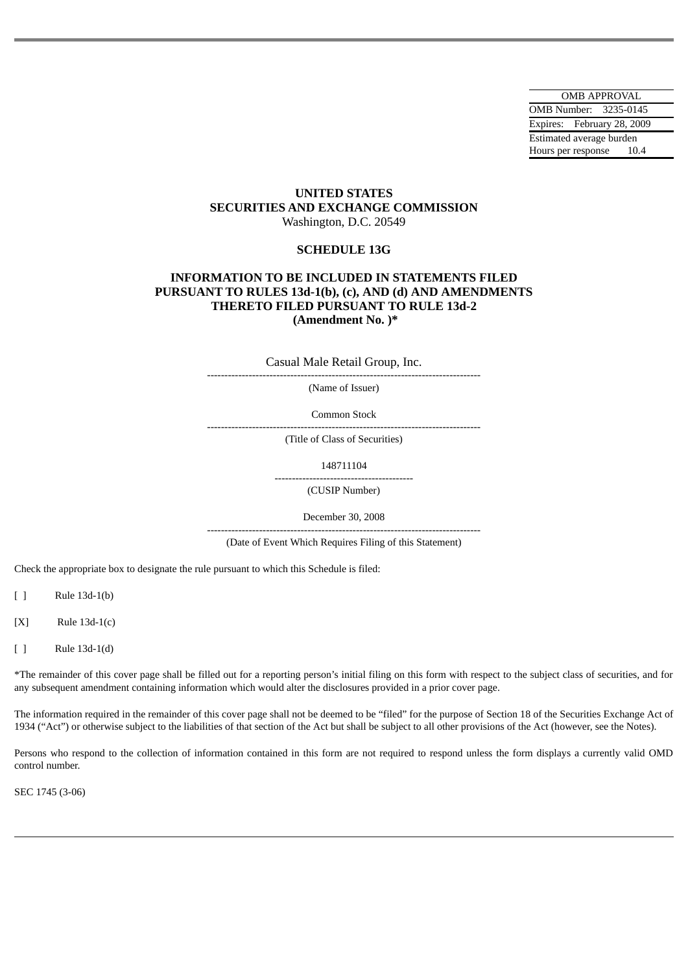OMB APPROVAL OMB Number: 3235-0145 Expires: February 28, 2009 Estimated average burden Hours per response 10.4

# **UNITED STATES SECURITIES AND EXCHANGE COMMISSION** Washington, D.C. 20549

# **SCHEDULE 13G**

# **INFORMATION TO BE INCLUDED IN STATEMENTS FILED PURSUANT TO RULES 13d-1(b), (c), AND (d) AND AMENDMENTS THERETO FILED PURSUANT TO RULE 13d-2 (Amendment No. )\***

Casual Male Retail Group, Inc.

-------------------------------------------------------------------------------

(Name of Issuer)

Common Stock

-------------------------------------------------------------------------------

(Title of Class of Securities)

148711104

---------------------------------------- (CUSIP Number)

December 30, 2008

------------------------------------------------------------------------------- (Date of Event Which Requires Filing of this Statement)

Check the appropriate box to designate the rule pursuant to which this Schedule is filed:

[ ] Rule 13d-1(b)

[X] Rule 13d-1(c)

[ ] Rule 13d-1(d)

\*The remainder of this cover page shall be filled out for a reporting person's initial filing on this form with respect to the subject class of securities, and for any subsequent amendment containing information which would alter the disclosures provided in a prior cover page.

The information required in the remainder of this cover page shall not be deemed to be "filed" for the purpose of Section 18 of the Securities Exchange Act of 1934 ("Act") or otherwise subject to the liabilities of that section of the Act but shall be subject to all other provisions of the Act (however, see the Notes).

Persons who respond to the collection of information contained in this form are not required to respond unless the form displays a currently valid OMD control number.

SEC 1745 (3-06)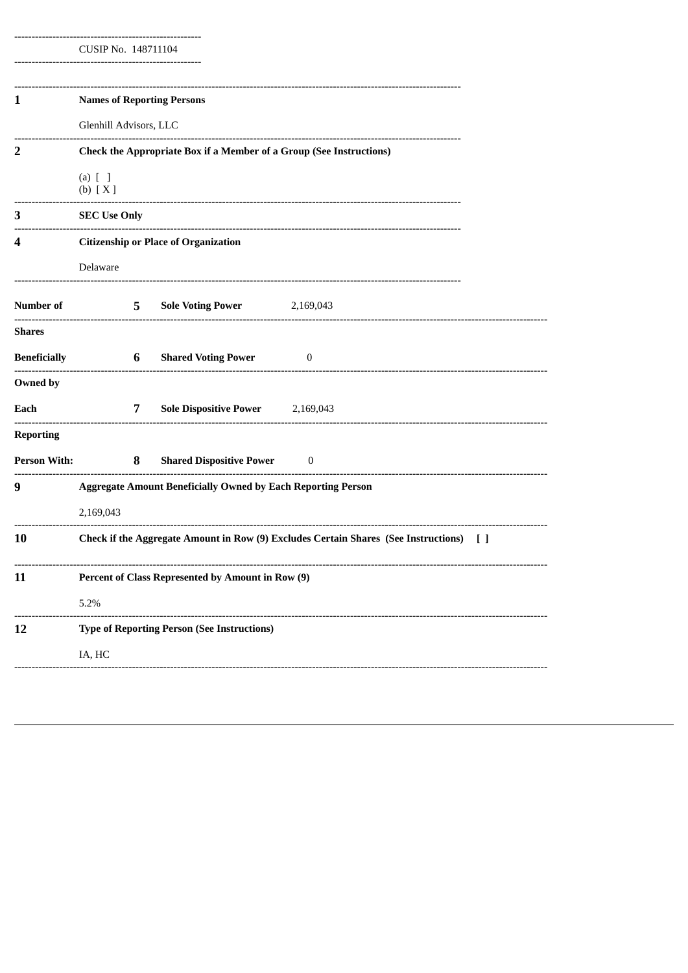|  | CUSIP No. 148711104 |  |  |  |  |
|--|---------------------|--|--|--|--|

| 1                   |                                                                                               |   | <b>Names of Reporting Persons</b>                  |                  |  |  |  |
|---------------------|-----------------------------------------------------------------------------------------------|---|----------------------------------------------------|------------------|--|--|--|
|                     | Glenhill Advisors, LLC                                                                        |   |                                                    |                  |  |  |  |
| 2                   | Check the Appropriate Box if a Member of a Group (See Instructions)                           |   |                                                    |                  |  |  |  |
|                     | $(a)$ $[$ $]$<br>(b) [X]                                                                      |   |                                                    |                  |  |  |  |
| 3                   | <b>SEC Use Only</b>                                                                           |   |                                                    |                  |  |  |  |
| 4                   | <b>Citizenship or Place of Organization</b>                                                   |   |                                                    |                  |  |  |  |
|                     | Delaware                                                                                      |   |                                                    |                  |  |  |  |
| <b>Number of</b>    |                                                                                               | 5 | <b>Sole Voting Power</b>                           | 2,169,043        |  |  |  |
| Shares              |                                                                                               |   |                                                    |                  |  |  |  |
| <b>Beneficially</b> |                                                                                               | 6 | <b>Shared Voting Power</b>                         | $\bf{0}$         |  |  |  |
| Owned by            |                                                                                               |   |                                                    |                  |  |  |  |
| Each                |                                                                                               | 7 | <b>Sole Dispositive Power</b>                      | 2,169,043        |  |  |  |
| <b>Reporting</b>    |                                                                                               |   |                                                    |                  |  |  |  |
| <b>Person With:</b> |                                                                                               | 8 | <b>Shared Dispositive Power</b>                    | $\boldsymbol{0}$ |  |  |  |
| 9                   | <b>Aggregate Amount Beneficially Owned by Each Reporting Person</b>                           |   |                                                    |                  |  |  |  |
|                     | 2,169,043                                                                                     |   |                                                    |                  |  |  |  |
| 10                  | Check if the Aggregate Amount in Row (9) Excludes Certain Shares (See Instructions)<br>$\Box$ |   |                                                    |                  |  |  |  |
| 11                  | Percent of Class Represented by Amount in Row (9)                                             |   |                                                    |                  |  |  |  |
|                     | 5.2%                                                                                          |   |                                                    |                  |  |  |  |
| 12                  |                                                                                               |   | <b>Type of Reporting Person (See Instructions)</b> |                  |  |  |  |
|                     | IA, HC                                                                                        |   |                                                    |                  |  |  |  |
|                     |                                                                                               |   |                                                    |                  |  |  |  |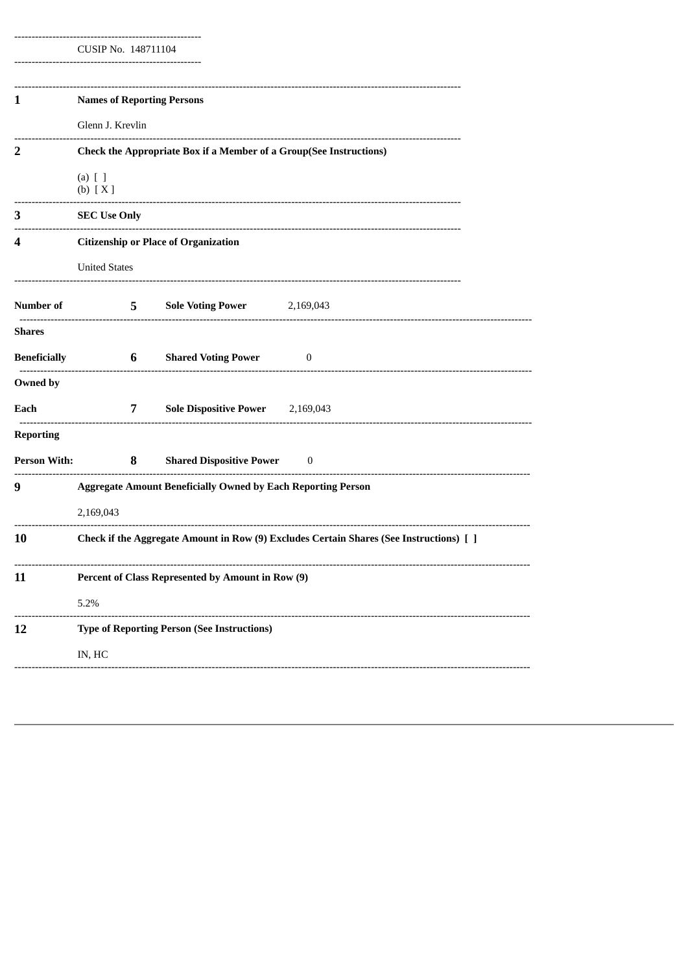CUSIP No. 148711104

| 1                       | <b>Names of Reporting Persons</b>                                                                       |             |                                                                    |          |  |  |  |
|-------------------------|---------------------------------------------------------------------------------------------------------|-------------|--------------------------------------------------------------------|----------|--|--|--|
|                         | Glenn J. Krevlin                                                                                        |             |                                                                    |          |  |  |  |
| $\overline{\mathbf{2}}$ |                                                                                                         |             | Check the Appropriate Box if a Member of a Group(See Instructions) |          |  |  |  |
|                         | $(a)$ $[$ $]$<br>(b) [X]                                                                                |             |                                                                    |          |  |  |  |
| 3                       | <b>SEC Use Only</b>                                                                                     |             |                                                                    |          |  |  |  |
| 4                       | <b>Citizenship or Place of Organization</b>                                                             |             |                                                                    |          |  |  |  |
|                         | <b>United States</b>                                                                                    |             |                                                                    |          |  |  |  |
| <b>Number of</b>        | -------------------------                                                                               | $5^{\circ}$ | Sole Voting Power 2,169,043                                        |          |  |  |  |
| Shares                  |                                                                                                         |             |                                                                    |          |  |  |  |
| Beneficially            |                                                                                                         | 6           | <b>Shared Voting Power</b>                                         | $\bf{0}$ |  |  |  |
| Owned by                |                                                                                                         |             |                                                                    |          |  |  |  |
| Each                    |                                                                                                         | 7           | Sole Dispositive Power 2,169,043                                   |          |  |  |  |
| <b>Reporting</b>        |                                                                                                         |             |                                                                    |          |  |  |  |
| <b>Person With:</b>     |                                                                                                         | 8           | <b>Shared Dispositive Power</b>                                    | $\bf{0}$ |  |  |  |
| 9                       | --------------------------------<br><b>Aggregate Amount Beneficially Owned by Each Reporting Person</b> |             |                                                                    |          |  |  |  |
|                         | 2,169,043                                                                                               |             |                                                                    |          |  |  |  |
| 10                      | Check if the Aggregate Amount in Row (9) Excludes Certain Shares (See Instructions) [ ]                 |             |                                                                    |          |  |  |  |
| 11                      | Percent of Class Represented by Amount in Row (9)                                                       |             |                                                                    |          |  |  |  |
|                         | 5.2%                                                                                                    |             |                                                                    |          |  |  |  |
| 12                      |                                                                                                         |             | <b>Type of Reporting Person (See Instructions)</b>                 |          |  |  |  |
|                         | IN, HC                                                                                                  |             |                                                                    |          |  |  |  |
|                         |                                                                                                         |             |                                                                    |          |  |  |  |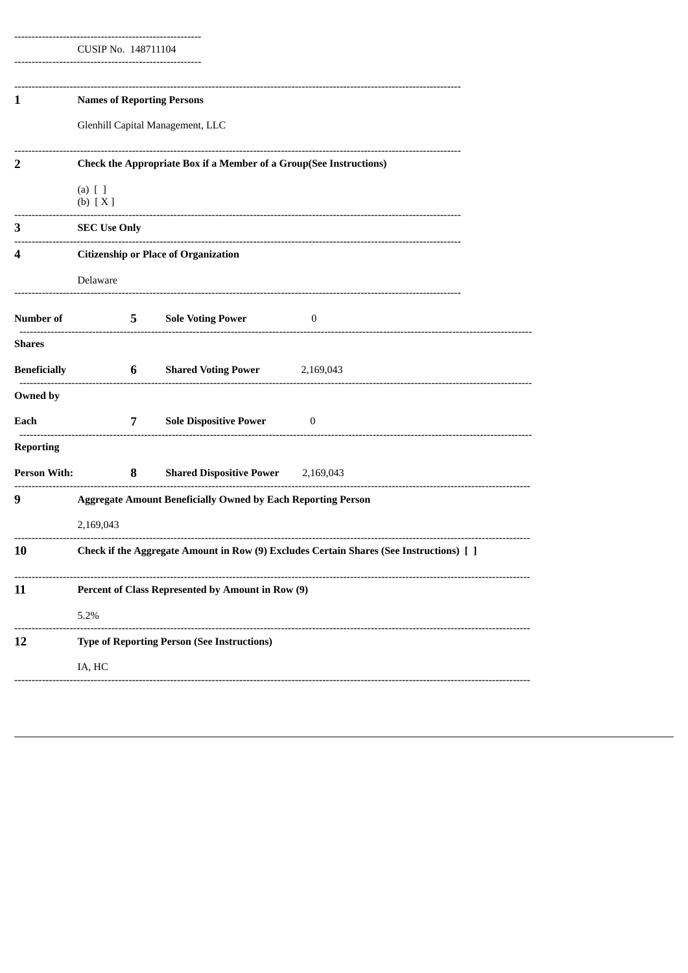| Check the Appropriate Box if a Member of a Group(See Instructions)                      |                                             |                                                          |                                                                                                                                                                                                                                                                                                                      |  |  |  |
|-----------------------------------------------------------------------------------------|---------------------------------------------|----------------------------------------------------------|----------------------------------------------------------------------------------------------------------------------------------------------------------------------------------------------------------------------------------------------------------------------------------------------------------------------|--|--|--|
| $(a)$ $[$ $]$<br>(b) [X]                                                                |                                             |                                                          |                                                                                                                                                                                                                                                                                                                      |  |  |  |
| <b>SEC Use Only</b>                                                                     |                                             |                                                          |                                                                                                                                                                                                                                                                                                                      |  |  |  |
|                                                                                         | <b>Citizenship or Place of Organization</b> |                                                          |                                                                                                                                                                                                                                                                                                                      |  |  |  |
| Delaware                                                                                |                                             |                                                          |                                                                                                                                                                                                                                                                                                                      |  |  |  |
|                                                                                         |                                             |                                                          | $\bf{0}$                                                                                                                                                                                                                                                                                                             |  |  |  |
|                                                                                         |                                             |                                                          |                                                                                                                                                                                                                                                                                                                      |  |  |  |
|                                                                                         |                                             | <b>Shared Voting Power</b> 2,169,043                     |                                                                                                                                                                                                                                                                                                                      |  |  |  |
|                                                                                         |                                             |                                                          |                                                                                                                                                                                                                                                                                                                      |  |  |  |
|                                                                                         |                                             | Sole Dispositive Power 0                                 |                                                                                                                                                                                                                                                                                                                      |  |  |  |
|                                                                                         |                                             |                                                          |                                                                                                                                                                                                                                                                                                                      |  |  |  |
|                                                                                         |                                             |                                                          |                                                                                                                                                                                                                                                                                                                      |  |  |  |
| <b>Aggregate Amount Beneficially Owned by Each Reporting Person</b>                     |                                             |                                                          |                                                                                                                                                                                                                                                                                                                      |  |  |  |
| 2,169,043                                                                               |                                             |                                                          |                                                                                                                                                                                                                                                                                                                      |  |  |  |
| Check if the Aggregate Amount in Row (9) Excludes Certain Shares (See Instructions) [ ] |                                             |                                                          |                                                                                                                                                                                                                                                                                                                      |  |  |  |
|                                                                                         |                                             |                                                          |                                                                                                                                                                                                                                                                                                                      |  |  |  |
| 5.2%                                                                                    |                                             |                                                          |                                                                                                                                                                                                                                                                                                                      |  |  |  |
|                                                                                         |                                             |                                                          |                                                                                                                                                                                                                                                                                                                      |  |  |  |
| IA, HC                                                                                  |                                             |                                                          |                                                                                                                                                                                                                                                                                                                      |  |  |  |
|                                                                                         | -------------------                         | <b>Beneficially</b><br>--------------------------------- | CUSIP No. 148711104<br><b>Names of Reporting Persons</b><br>Glenhill Capital Management, LLC<br><b>5</b> Sole Voting Power<br>$6\degree$<br>7<br><b>Person With:</b> 8 Shared Dispositive Power 2,169,043<br>Percent of Class Represented by Amount in Row (9)<br><b>Type of Reporting Person (See Instructions)</b> |  |  |  |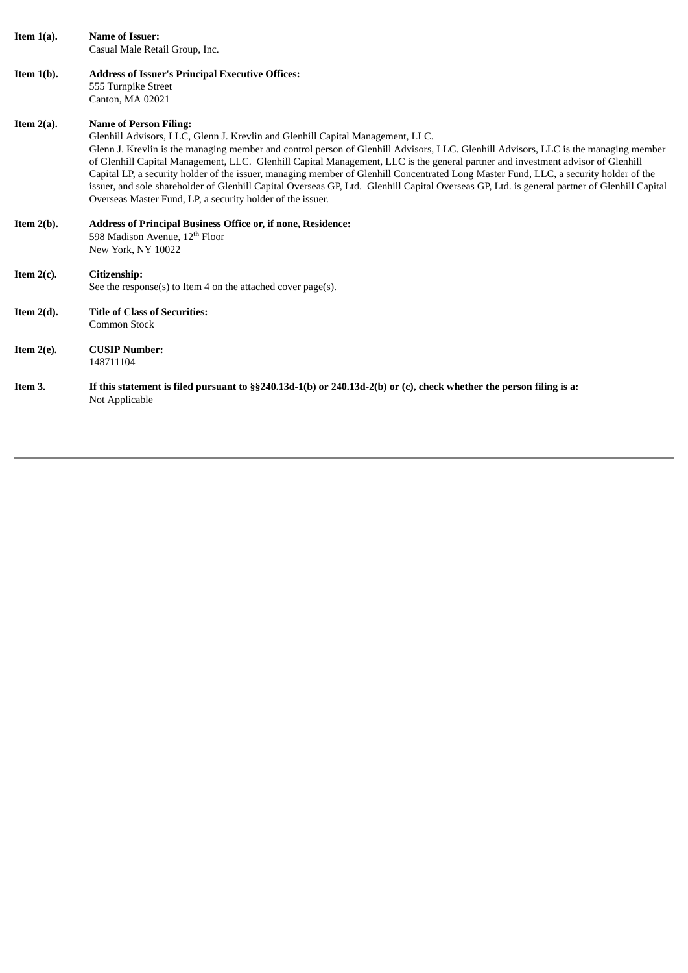| Item $1(a)$ . | <b>Name of Issuer:</b><br>Casual Male Retail Group, Inc.                                                                                                                                                                                                                                                                                                                                                                                                                                                                                                                                                                                                                                                                                         |
|---------------|--------------------------------------------------------------------------------------------------------------------------------------------------------------------------------------------------------------------------------------------------------------------------------------------------------------------------------------------------------------------------------------------------------------------------------------------------------------------------------------------------------------------------------------------------------------------------------------------------------------------------------------------------------------------------------------------------------------------------------------------------|
| Item $1(b)$ . | <b>Address of Issuer's Principal Executive Offices:</b><br>555 Turnpike Street<br>Canton, MA 02021                                                                                                                                                                                                                                                                                                                                                                                                                                                                                                                                                                                                                                               |
| Item $2(a)$ . | <b>Name of Person Filing:</b><br>Glenhill Advisors, LLC, Glenn J. Krevlin and Glenhill Capital Management, LLC.<br>Glenn J. Krevlin is the managing member and control person of Glenhill Advisors, LLC. Glenhill Advisors, LLC is the managing member<br>of Glenhill Capital Management, LLC. Glenhill Capital Management, LLC is the general partner and investment advisor of Glenhill<br>Capital LP, a security holder of the issuer, managing member of Glenhill Concentrated Long Master Fund, LLC, a security holder of the<br>issuer, and sole shareholder of Glenhill Capital Overseas GP, Ltd. Glenhill Capital Overseas GP, Ltd. is general partner of Glenhill Capital<br>Overseas Master Fund, LP, a security holder of the issuer. |
| Item $2(b)$ . | Address of Principal Business Office or, if none, Residence:<br>598 Madison Avenue, 12 <sup>th</sup> Floor<br>New York, NY 10022                                                                                                                                                                                                                                                                                                                                                                                                                                                                                                                                                                                                                 |
| Item $2(c)$ . | Citizenship:<br>See the response(s) to Item 4 on the attached cover page(s).                                                                                                                                                                                                                                                                                                                                                                                                                                                                                                                                                                                                                                                                     |
| Item $2(d)$ . | <b>Title of Class of Securities:</b><br>Common Stock                                                                                                                                                                                                                                                                                                                                                                                                                                                                                                                                                                                                                                                                                             |
| Item $2(e)$ . | <b>CUSIP Number:</b><br>148711104                                                                                                                                                                                                                                                                                                                                                                                                                                                                                                                                                                                                                                                                                                                |
| Item 3.       | If this statement is filed pursuant to $\S$ §240.13d-1(b) or 240.13d-2(b) or (c), check whether the person filing is a:<br>Not Applicable                                                                                                                                                                                                                                                                                                                                                                                                                                                                                                                                                                                                        |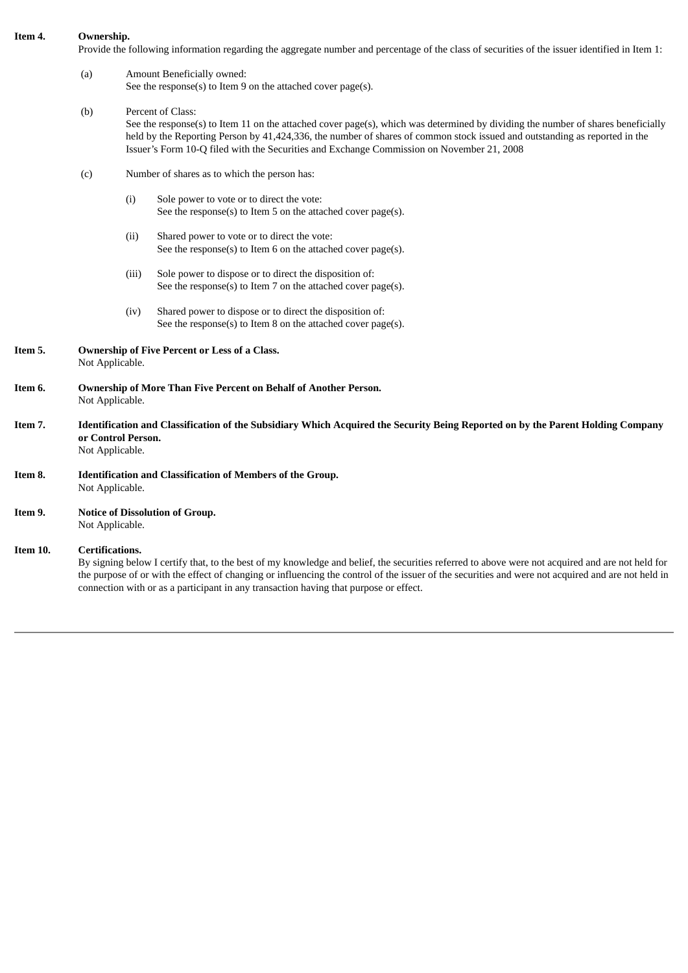#### **Item 4. Ownership.**

Provide the following information regarding the aggregate number and percentage of the class of securities of the issuer identified in Item 1:

#### (a) Amount Beneficially owned: See the response(s) to Item 9 on the attached cover page(s).

#### (b) Percent of Class:

See the response(s) to Item 11 on the attached cover page(s), which was determined by dividing the number of shares beneficially held by the Reporting Person by 41,424,336, the number of shares of common stock issued and outstanding as reported in the Issuer's Form 10-Q filed with the Securities and Exchange Commission on November 21, 2008

- (c) Number of shares as to which the person has:
	- (i) Sole power to vote or to direct the vote: See the response(s) to Item 5 on the attached cover page(s).
	- (ii) Shared power to vote or to direct the vote: See the response(s) to Item 6 on the attached cover page(s).
	- (iii) Sole power to dispose or to direct the disposition of: See the response(s) to Item 7 on the attached cover page(s).
	- (iv) Shared power to dispose or to direct the disposition of: See the response(s) to Item 8 on the attached cover page(s).
- **Item 5. Ownership of Five Percent or Less of a Class.** Not Applicable.
- **Item 6. Ownership of More Than Five Percent on Behalf of Another Person.** Not Applicable.
- Item 7. Identification and Classification of the Subsidiary Which Acquired the Security Being Reported on by the Parent Holding Company **or Control Person.** Not Applicable.
- **Item 8. Identification and Classification of Members of the Group.** Not Applicable.
- **Item 9. Notice of Dissolution of Group.** Not Applicable.

## **Item 10. Certifications.**

By signing below I certify that, to the best of my knowledge and belief, the securities referred to above were not acquired and are not held for the purpose of or with the effect of changing or influencing the control of the issuer of the securities and were not acquired and are not held in connection with or as a participant in any transaction having that purpose or effect.